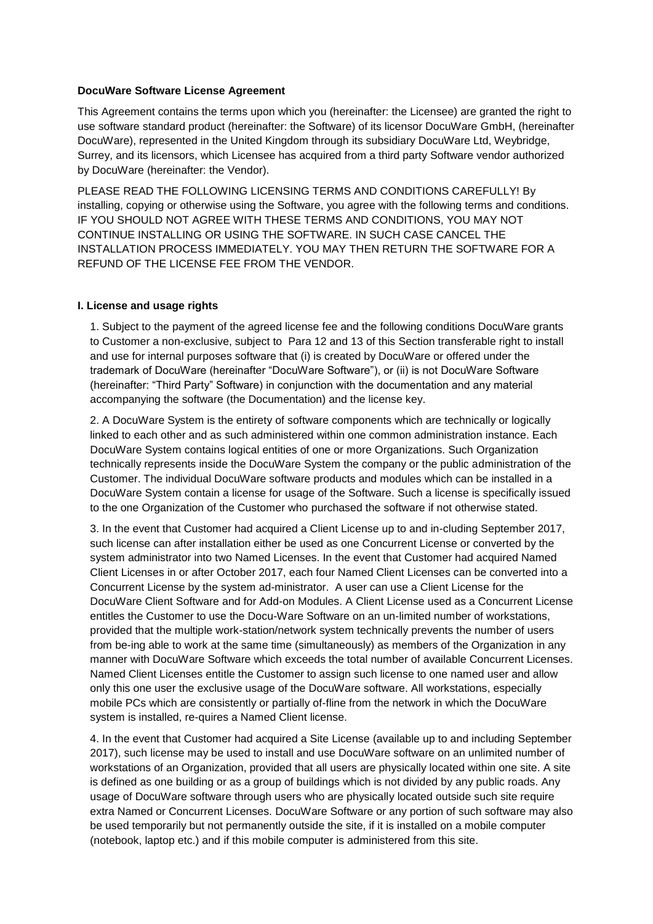#### **DocuWare Software License Agreement**

This Agreement contains the terms upon which you (hereinafter: the Licensee) are granted the right to use software standard product (hereinafter: the Software) of its licensor DocuWare GmbH, (hereinafter DocuWare), represented in the United Kingdom through its subsidiary DocuWare Ltd, Weybridge, Surrey, and its licensors, which Licensee has acquired from a third party Software vendor authorized by DocuWare (hereinafter: the Vendor).

PLEASE READ THE FOLLOWING LICENSING TERMS AND CONDITIONS CAREFULLY! By installing, copying or otherwise using the Software, you agree with the following terms and conditions. IF YOU SHOULD NOT AGREE WITH THESE TERMS AND CONDITIONS, YOU MAY NOT CONTINUE INSTALLING OR USING THE SOFTWARE. IN SUCH CASE CANCEL THE INSTALLATION PROCESS IMMEDIATELY. YOU MAY THEN RETURN THE SOFTWARE FOR A REFUND OF THE LICENSE FEE FROM THE VENDOR.

## **I. License and usage rights**

1. Subject to the payment of the agreed license fee and the following conditions DocuWare grants to Customer a non-exclusive, subject to Para 12 and 13 of this Section transferable right to install and use for internal purposes software that (i) is created by DocuWare or offered under the trademark of DocuWare (hereinafter "DocuWare Software"), or (ii) is not DocuWare Software (hereinafter: "Third Party" Software) in conjunction with the documentation and any material accompanying the software (the Documentation) and the license key.

2. A DocuWare System is the entirety of software components which are technically or logically linked to each other and as such administered within one common administration instance. Each DocuWare System contains logical entities of one or more Organizations. Such Organization technically represents inside the DocuWare System the company or the public administration of the Customer. The individual DocuWare software products and modules which can be installed in a DocuWare System contain a license for usage of the Software. Such a license is specifically issued to the one Organization of the Customer who purchased the software if not otherwise stated.

3. In the event that Customer had acquired a Client License up to and in-cluding September 2017, such license can after installation either be used as one Concurrent License or converted by the system administrator into two Named Licenses. In the event that Customer had acquired Named Client Licenses in or after October 2017, each four Named Client Licenses can be converted into a Concurrent License by the system ad-ministrator. A user can use a Client License for the DocuWare Client Software and for Add-on Modules. A Client License used as a Concurrent License entitles the Customer to use the Docu-Ware Software on an un-limited number of workstations, provided that the multiple work-station/network system technically prevents the number of users from be-ing able to work at the same time (simultaneously) as members of the Organization in any manner with DocuWare Software which exceeds the total number of available Concurrent Licenses. Named Client Licenses entitle the Customer to assign such license to one named user and allow only this one user the exclusive usage of the DocuWare software. All workstations, especially mobile PCs which are consistently or partially of-fline from the network in which the DocuWare system is installed, re-quires a Named Client license.

4. In the event that Customer had acquired a Site License (available up to and including September 2017), such license may be used to install and use DocuWare software on an unlimited number of workstations of an Organization, provided that all users are physically located within one site. A site is defined as one building or as a group of buildings which is not divided by any public roads. Any usage of DocuWare software through users who are physically located outside such site require extra Named or Concurrent Licenses. DocuWare Software or any portion of such software may also be used temporarily but not permanently outside the site, if it is installed on a mobile computer (notebook, laptop etc.) and if this mobile computer is administered from this site.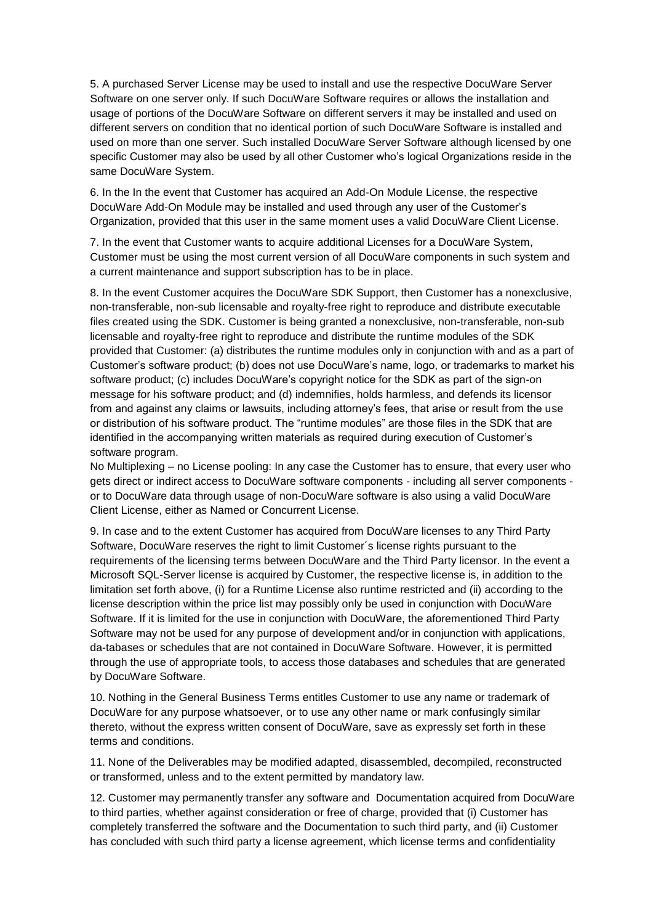5. A purchased Server License may be used to install and use the respective DocuWare Server Software on one server only. If such DocuWare Software requires or allows the installation and usage of portions of the DocuWare Software on different servers it may be installed and used on different servers on condition that no identical portion of such DocuWare Software is installed and used on more than one server. Such installed DocuWare Server Software although licensed by one specific Customer may also be used by all other Customer who's logical Organizations reside in the same DocuWare System.

6. In the In the event that Customer has acquired an Add-On Module License, the respective DocuWare Add-On Module may be installed and used through any user of the Customer's Organization, provided that this user in the same moment uses a valid DocuWare Client License.

7. In the event that Customer wants to acquire additional Licenses for a DocuWare System, Customer must be using the most current version of all DocuWare components in such system and a current maintenance and support subscription has to be in place.

8. In the event Customer acquires the DocuWare SDK Support, then Customer has a nonexclusive, non-transferable, non-sub licensable and royalty-free right to reproduce and distribute executable files created using the SDK. Customer is being granted a nonexclusive, non-transferable, non-sub licensable and royalty-free right to reproduce and distribute the runtime modules of the SDK provided that Customer: (a) distributes the runtime modules only in conjunction with and as a part of Customer's software product; (b) does not use DocuWare's name, logo, or trademarks to market his software product; (c) includes DocuWare's copyright notice for the SDK as part of the sign-on message for his software product; and (d) indemnifies, holds harmless, and defends its licensor from and against any claims or lawsuits, including attorney's fees, that arise or result from the use or distribution of his software product. The "runtime modules" are those files in the SDK that are identified in the accompanying written materials as required during execution of Customer's software program.

No Multiplexing – no License pooling: In any case the Customer has to ensure, that every user who gets direct or indirect access to DocuWare software components - including all server components or to DocuWare data through usage of non-DocuWare software is also using a valid DocuWare Client License, either as Named or Concurrent License.

9. In case and to the extent Customer has acquired from DocuWare licenses to any Third Party Software, DocuWare reserves the right to limit Customer´s license rights pursuant to the requirements of the licensing terms between DocuWare and the Third Party licensor. In the event a Microsoft SQL-Server license is acquired by Customer, the respective license is, in addition to the limitation set forth above, (i) for a Runtime License also runtime restricted and (ii) according to the license description within the price list may possibly only be used in conjunction with DocuWare Software. If it is limited for the use in conjunction with DocuWare, the aforementioned Third Party Software may not be used for any purpose of development and/or in conjunction with applications, da-tabases or schedules that are not contained in DocuWare Software. However, it is permitted through the use of appropriate tools, to access those databases and schedules that are generated by DocuWare Software.

10. Nothing in the General Business Terms entitles Customer to use any name or trademark of DocuWare for any purpose whatsoever, or to use any other name or mark confusingly similar thereto, without the express written consent of DocuWare, save as expressly set forth in these terms and conditions.

11. None of the Deliverables may be modified adapted, disassembled, decompiled, reconstructed or transformed, unless and to the extent permitted by mandatory law.

12. Customer may permanently transfer any software and Documentation acquired from DocuWare to third parties, whether against consideration or free of charge, provided that (i) Customer has completely transferred the software and the Documentation to such third party, and (ii) Customer has concluded with such third party a license agreement, which license terms and confidentiality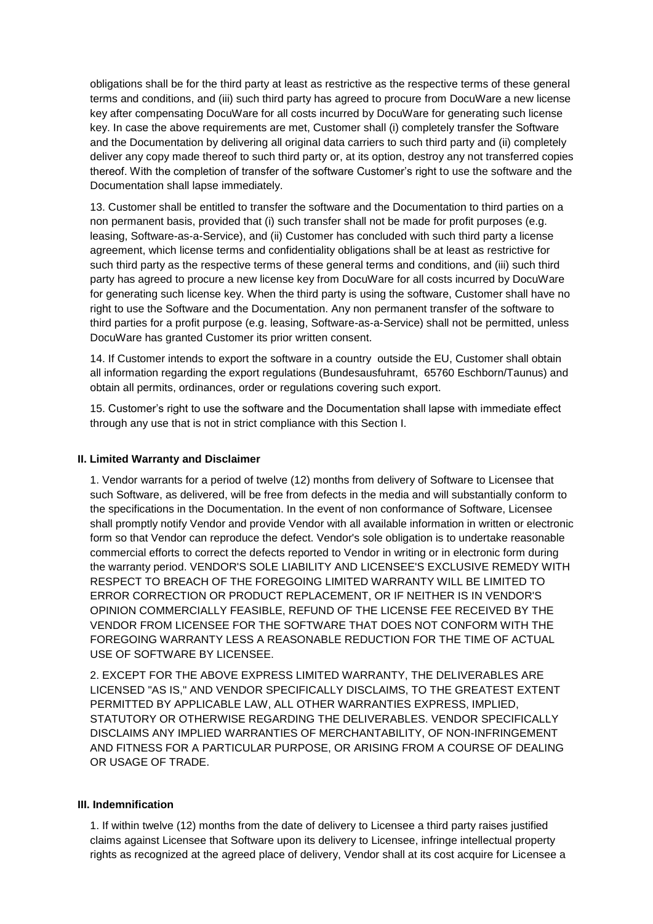obligations shall be for the third party at least as restrictive as the respective terms of these general terms and conditions, and (iii) such third party has agreed to procure from DocuWare a new license key after compensating DocuWare for all costs incurred by DocuWare for generating such license key. In case the above requirements are met, Customer shall (i) completely transfer the Software and the Documentation by delivering all original data carriers to such third party and (ii) completely deliver any copy made thereof to such third party or, at its option, destroy any not transferred copies thereof. With the completion of transfer of the software Customer's right to use the software and the Documentation shall lapse immediately.

13. Customer shall be entitled to transfer the software and the Documentation to third parties on a non permanent basis, provided that (i) such transfer shall not be made for profit purposes (e.g. leasing, Software-as-a-Service), and (ii) Customer has concluded with such third party a license agreement, which license terms and confidentiality obligations shall be at least as restrictive for such third party as the respective terms of these general terms and conditions, and (iii) such third party has agreed to procure a new license key from DocuWare for all costs incurred by DocuWare for generating such license key. When the third party is using the software, Customer shall have no right to use the Software and the Documentation. Any non permanent transfer of the software to third parties for a profit purpose (e.g. leasing, Software-as-a-Service) shall not be permitted, unless DocuWare has granted Customer its prior written consent.

14. If Customer intends to export the software in a country outside the EU, Customer shall obtain all information regarding the export regulations (Bundesausfuhramt, 65760 Eschborn/Taunus) and obtain all permits, ordinances, order or regulations covering such export.

15. Customer's right to use the software and the Documentation shall lapse with immediate effect through any use that is not in strict compliance with this Section I.

## **II. Limited Warranty and Disclaimer**

1. Vendor warrants for a period of twelve (12) months from delivery of Software to Licensee that such Software, as delivered, will be free from defects in the media and will substantially conform to the specifications in the Documentation. In the event of non conformance of Software, Licensee shall promptly notify Vendor and provide Vendor with all available information in written or electronic form so that Vendor can reproduce the defect. Vendor's sole obligation is to undertake reasonable commercial efforts to correct the defects reported to Vendor in writing or in electronic form during the warranty period. VENDOR'S SOLE LIABILITY AND LICENSEE'S EXCLUSIVE REMEDY WITH RESPECT TO BREACH OF THE FOREGOING LIMITED WARRANTY WILL BE LIMITED TO ERROR CORRECTION OR PRODUCT REPLACEMENT, OR IF NEITHER IS IN VENDOR'S OPINION COMMERCIALLY FEASIBLE, REFUND OF THE LICENSE FEE RECEIVED BY THE VENDOR FROM LICENSEE FOR THE SOFTWARE THAT DOES NOT CONFORM WITH THE FOREGOING WARRANTY LESS A REASONABLE REDUCTION FOR THE TIME OF ACTUAL USE OF SOFTWARE BY LICENSEE.

2. EXCEPT FOR THE ABOVE EXPRESS LIMITED WARRANTY, THE DELIVERABLES ARE LICENSED "AS IS," AND VENDOR SPECIFICALLY DISCLAIMS, TO THE GREATEST EXTENT PERMITTED BY APPLICABLE LAW, ALL OTHER WARRANTIES EXPRESS, IMPLIED, STATUTORY OR OTHERWISE REGARDING THE DELIVERABLES. VENDOR SPECIFICALLY DISCLAIMS ANY IMPLIED WARRANTIES OF MERCHANTABILITY, OF NON-INFRINGEMENT AND FITNESS FOR A PARTICULAR PURPOSE, OR ARISING FROM A COURSE OF DEALING OR USAGE OF TRADE.

#### **III. Indemnification**

1. If within twelve (12) months from the date of delivery to Licensee a third party raises justified claims against Licensee that Software upon its delivery to Licensee, infringe intellectual property rights as recognized at the agreed place of delivery, Vendor shall at its cost acquire for Licensee a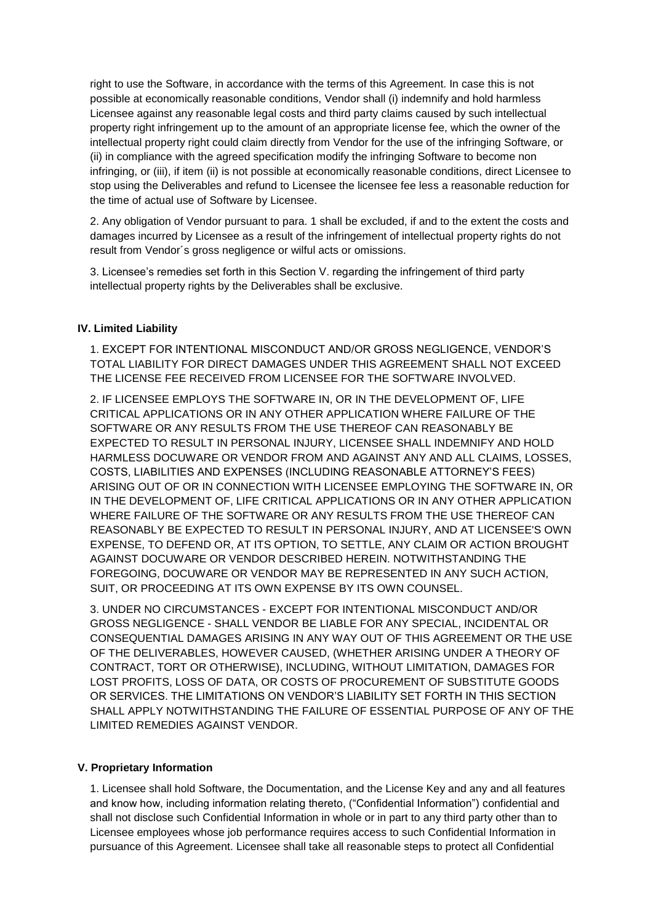right to use the Software, in accordance with the terms of this Agreement. In case this is not possible at economically reasonable conditions, Vendor shall (i) indemnify and hold harmless Licensee against any reasonable legal costs and third party claims caused by such intellectual property right infringement up to the amount of an appropriate license fee, which the owner of the intellectual property right could claim directly from Vendor for the use of the infringing Software, or (ii) in compliance with the agreed specification modify the infringing Software to become non infringing, or (iii), if item (ii) is not possible at economically reasonable conditions, direct Licensee to stop using the Deliverables and refund to Licensee the licensee fee less a reasonable reduction for the time of actual use of Software by Licensee.

2. Any obligation of Vendor pursuant to para. 1 shall be excluded, if and to the extent the costs and damages incurred by Licensee as a result of the infringement of intellectual property rights do not result from Vendor´s gross negligence or wilful acts or omissions.

3. Licensee's remedies set forth in this Section V. regarding the infringement of third party intellectual property rights by the Deliverables shall be exclusive.

## **IV. Limited Liability**

1. EXCEPT FOR INTENTIONAL MISCONDUCT AND/OR GROSS NEGLIGENCE, VENDOR'S TOTAL LIABILITY FOR DIRECT DAMAGES UNDER THIS AGREEMENT SHALL NOT EXCEED THE LICENSE FEE RECEIVED FROM LICENSEE FOR THE SOFTWARE INVOLVED.

2. IF LICENSEE EMPLOYS THE SOFTWARE IN, OR IN THE DEVELOPMENT OF, LIFE CRITICAL APPLICATIONS OR IN ANY OTHER APPLICATION WHERE FAILURE OF THE SOFTWARE OR ANY RESULTS FROM THE USE THEREOF CAN REASONABLY BE EXPECTED TO RESULT IN PERSONAL INJURY, LICENSEE SHALL INDEMNIFY AND HOLD HARMLESS DOCUWARE OR VENDOR FROM AND AGAINST ANY AND ALL CLAIMS, LOSSES, COSTS, LIABILITIES AND EXPENSES (INCLUDING REASONABLE ATTORNEY'S FEES) ARISING OUT OF OR IN CONNECTION WITH LICENSEE EMPLOYING THE SOFTWARE IN, OR IN THE DEVELOPMENT OF, LIFE CRITICAL APPLICATIONS OR IN ANY OTHER APPLICATION WHERE FAILURE OF THE SOFTWARE OR ANY RESULTS FROM THE USE THEREOF CAN REASONABLY BE EXPECTED TO RESULT IN PERSONAL INJURY, AND AT LICENSEE'S OWN EXPENSE, TO DEFEND OR, AT ITS OPTION, TO SETTLE, ANY CLAIM OR ACTION BROUGHT AGAINST DOCUWARE OR VENDOR DESCRIBED HEREIN. NOTWITHSTANDING THE FOREGOING, DOCUWARE OR VENDOR MAY BE REPRESENTED IN ANY SUCH ACTION, SUIT, OR PROCEEDING AT ITS OWN EXPENSE BY ITS OWN COUNSEL.

3. UNDER NO CIRCUMSTANCES - EXCEPT FOR INTENTIONAL MISCONDUCT AND/OR GROSS NEGLIGENCE - SHALL VENDOR BE LIABLE FOR ANY SPECIAL, INCIDENTAL OR CONSEQUENTIAL DAMAGES ARISING IN ANY WAY OUT OF THIS AGREEMENT OR THE USE OF THE DELIVERABLES, HOWEVER CAUSED, (WHETHER ARISING UNDER A THEORY OF CONTRACT, TORT OR OTHERWISE), INCLUDING, WITHOUT LIMITATION, DAMAGES FOR LOST PROFITS, LOSS OF DATA, OR COSTS OF PROCUREMENT OF SUBSTITUTE GOODS OR SERVICES. THE LIMITATIONS ON VENDOR'S LIABILITY SET FORTH IN THIS SECTION SHALL APPLY NOTWITHSTANDING THE FAILURE OF ESSENTIAL PURPOSE OF ANY OF THE LIMITED REMEDIES AGAINST VENDOR.

#### **V. Proprietary Information**

1. Licensee shall hold Software, the Documentation, and the License Key and any and all features and know how, including information relating thereto, ("Confidential Information") confidential and shall not disclose such Confidential Information in whole or in part to any third party other than to Licensee employees whose job performance requires access to such Confidential Information in pursuance of this Agreement. Licensee shall take all reasonable steps to protect all Confidential